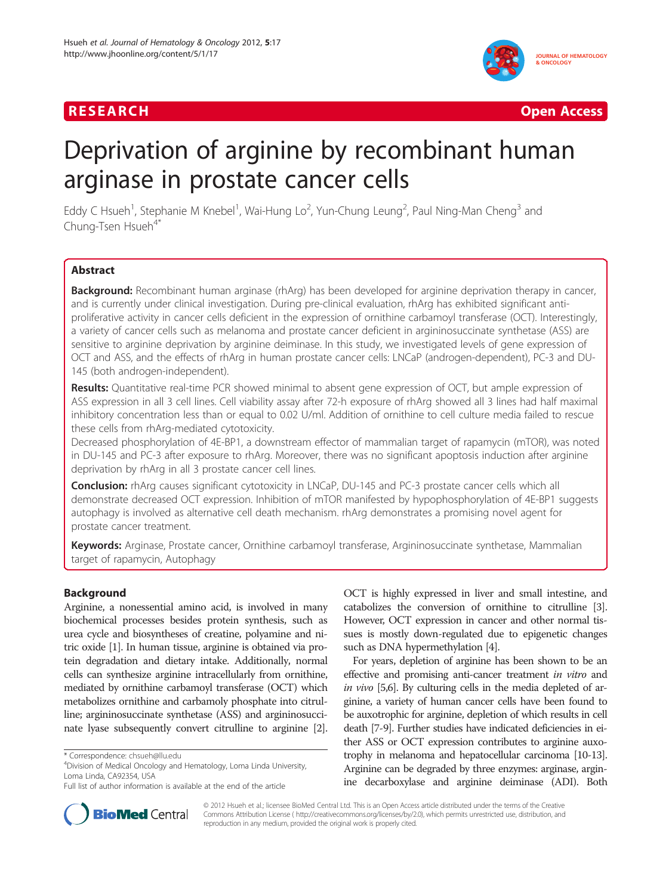



# Deprivation of arginine by recombinant human arginase in prostate cancer cells

Eddy C Hsueh<sup>1</sup>, Stephanie M Knebel<sup>1</sup>, Wai-Hung Lo<sup>2</sup>, Yun-Chung Leung<sup>2</sup>, Paul Ning-Man Cheng<sup>3</sup> and Chung-Tsen Hsueh<sup>4\*</sup>

# Abstract

Background: Recombinant human arginase (rhArg) has been developed for arginine deprivation therapy in cancer, and is currently under clinical investigation. During pre-clinical evaluation, rhArg has exhibited significant antiproliferative activity in cancer cells deficient in the expression of ornithine carbamoyl transferase (OCT). Interestingly, a variety of cancer cells such as melanoma and prostate cancer deficient in argininosuccinate synthetase (ASS) are sensitive to arginine deprivation by arginine deiminase. In this study, we investigated levels of gene expression of OCT and ASS, and the effects of rhArg in human prostate cancer cells: LNCaP (androgen-dependent), PC-3 and DU-145 (both androgen-independent).

Results: Quantitative real-time PCR showed minimal to absent gene expression of OCT, but ample expression of ASS expression in all 3 cell lines. Cell viability assay after 72-h exposure of rhArg showed all 3 lines had half maximal inhibitory concentration less than or equal to 0.02 U/ml. Addition of ornithine to cell culture media failed to rescue these cells from rhArg-mediated cytotoxicity.

Decreased phosphorylation of 4E-BP1, a downstream effector of mammalian target of rapamycin (mTOR), was noted in DU-145 and PC-3 after exposure to rhArg. Moreover, there was no significant apoptosis induction after arginine deprivation by rhArg in all 3 prostate cancer cell lines.

**Conclusion:** rhArg causes significant cytotoxicity in LNCaP, DU-145 and PC-3 prostate cancer cells which all demonstrate decreased OCT expression. Inhibition of mTOR manifested by hypophosphorylation of 4E-BP1 suggests autophagy is involved as alternative cell death mechanism. rhArg demonstrates a promising novel agent for prostate cancer treatment.

Keywords: Arginase, Prostate cancer, Ornithine carbamoyl transferase, Argininosuccinate synthetase, Mammalian target of rapamycin, Autophagy

# Background

Arginine, a nonessential amino acid, is involved in many biochemical processes besides protein synthesis, such as urea cycle and biosyntheses of creatine, polyamine and nitric oxide [\[1](#page-4-0)]. In human tissue, arginine is obtained via protein degradation and dietary intake. Additionally, normal cells can synthesize arginine intracellularly from ornithine, mediated by ornithine carbamoyl transferase (OCT) which metabolizes ornithine and carbamoly phosphate into citrulline; argininosuccinate synthetase (ASS) and argininosuccinate lyase subsequently convert citrulline to arginine [[2](#page-4-0)].

OCT is highly expressed in liver and small intestine, and catabolizes the conversion of ornithine to citrulline [[3](#page-4-0)]. However, OCT expression in cancer and other normal tissues is mostly down-regulated due to epigenetic changes such as DNA hypermethylation [\[4](#page-4-0)].

For years, depletion of arginine has been shown to be an effective and promising anti-cancer treatment in vitro and in vivo [\[5,6](#page-4-0)]. By culturing cells in the media depleted of arginine, a variety of human cancer cells have been found to be auxotrophic for arginine, depletion of which results in cell death [\[7](#page-4-0)-[9](#page-4-0)]. Further studies have indicated deficiencies in either ASS or OCT expression contributes to arginine auxotrophy in melanoma and hepatocellular carcinoma [[10](#page-4-0)[-13\]](#page-5-0). Arginine can be degraded by three enzymes: arginase, arginine decarboxylase and arginine deiminase (ADI). Both



© 2012 Hsueh et al.; licensee BioMed Central Ltd. This is an Open Access article distributed under the terms of the Creative Commons Attribution License ( http://creativecommons.org/licenses/by/2.0), which permits unrestricted use, distribution, and reproduction in any medium, provided the original work is properly cited.

<sup>\*</sup> Correspondence: [chsueh@llu.edu](mailto:chsueh@llu.edu) <sup>4</sup>

Division of Medical Oncology and Hematology, Loma Linda University, Loma Linda, CA92354, USA

Full list of author information is available at the end of the article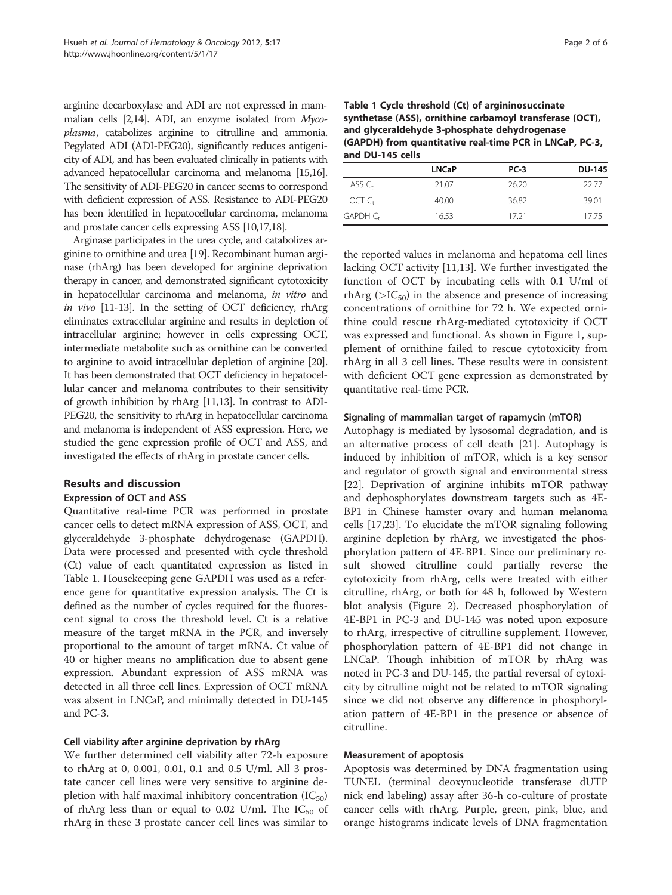arginine decarboxylase and ADI are not expressed in mammalian cells [[2](#page-4-0)[,14\]](#page-5-0). ADI, an enzyme isolated from Mycoplasma, catabolizes arginine to citrulline and ammonia. Pegylated ADI (ADI-PEG20), significantly reduces antigenicity of ADI, and has been evaluated clinically in patients with advanced hepatocellular carcinoma and melanoma [\[15,16\]](#page-5-0). The sensitivity of ADI-PEG20 in cancer seems to correspond with deficient expression of ASS. Resistance to ADI-PEG20 has been identified in hepatocellular carcinoma, melanoma and prostate cancer cells expressing ASS [\[10](#page-4-0)[,17,18\]](#page-5-0).

Arginase participates in the urea cycle, and catabolizes arginine to ornithine and urea [\[19\]](#page-5-0). Recombinant human arginase (rhArg) has been developed for arginine deprivation therapy in cancer, and demonstrated significant cytotoxicity in hepatocellular carcinoma and melanoma, in vitro and in vivo [\[11-](#page-4-0)[13](#page-5-0)]. In the setting of OCT deficiency, rhArg eliminates extracellular arginine and results in depletion of intracellular arginine; however in cells expressing OCT, intermediate metabolite such as ornithine can be converted to arginine to avoid intracellular depletion of arginine [\[20](#page-5-0)]. It has been demonstrated that OCT deficiency in hepatocellular cancer and melanoma contributes to their sensitivity of growth inhibition by rhArg [[11](#page-4-0)[,13](#page-5-0)]. In contrast to ADI-PEG20, the sensitivity to rhArg in hepatocellular carcinoma and melanoma is independent of ASS expression. Here, we studied the gene expression profile of OCT and ASS, and investigated the effects of rhArg in prostate cancer cells.

# Results and discussion

#### Expression of OCT and ASS

Quantitative real-time PCR was performed in prostate cancer cells to detect mRNA expression of ASS, OCT, and glyceraldehyde 3-phosphate dehydrogenase (GAPDH). Data were processed and presented with cycle threshold (Ct) value of each quantitated expression as listed in Table 1. Housekeeping gene GAPDH was used as a reference gene for quantitative expression analysis. The Ct is defined as the number of cycles required for the fluorescent signal to cross the threshold level. Ct is a relative measure of the target mRNA in the PCR, and inversely proportional to the amount of target mRNA. Ct value of 40 or higher means no amplification due to absent gene expression. Abundant expression of ASS mRNA was detected in all three cell lines. Expression of OCT mRNA was absent in LNCaP, and minimally detected in DU-145 and PC-3.

#### Cell viability after arginine deprivation by rhArg

We further determined cell viability after 72-h exposure to rhArg at 0, 0.001, 0.01, 0.1 and 0.5 U/ml. All 3 prostate cancer cell lines were very sensitive to arginine depletion with half maximal inhibitory concentration  $(IC_{50})$ of rhArg less than or equal to 0.02 U/ml. The  $IC_{50}$  of rhArg in these 3 prostate cancer cell lines was similar to

| Table 1 Cycle threshold (Ct) of argininosuccinate        |
|----------------------------------------------------------|
| synthetase (ASS), ornithine carbamoyl transferase (OCT), |
| and glyceraldehyde 3-phosphate dehydrogenase             |
| (GAPDH) from quantitative real-time PCR in LNCaP, PC-3,  |
| and DU-145 cells                                         |

|                      | <b>LNCaP</b> | $PC-3$ | <b>DU-145</b> |
|----------------------|--------------|--------|---------------|
| $ASSC_{t}$           | 21.07        | 26.20  | 22.77         |
| OCT C <sub>r</sub>   | 40.00        | 36.82  | 39.01         |
| GAPDH C <sub>r</sub> | 16.53        | 17.21  | 17.75         |

the reported values in melanoma and hepatoma cell lines lacking OCT activity [\[11](#page-4-0)[,13](#page-5-0)]. We further investigated the function of OCT by incubating cells with 0.1 U/ml of rhArg ( $\geq$ IC<sub>50</sub>) in the absence and presence of increasing concentrations of ornithine for 72 h. We expected ornithine could rescue rhArg-mediated cytotoxicity if OCT was expressed and functional. As shown in Figure [1,](#page-2-0) supplement of ornithine failed to rescue cytotoxicity from rhArg in all 3 cell lines. These results were in consistent with deficient OCT gene expression as demonstrated by quantitative real-time PCR.

#### Signaling of mammalian target of rapamycin (mTOR)

Autophagy is mediated by lysosomal degradation, and is an alternative process of cell death [\[21](#page-5-0)]. Autophagy is induced by inhibition of mTOR, which is a key sensor and regulator of growth signal and environmental stress [[22\]](#page-5-0). Deprivation of arginine inhibits mTOR pathway and dephosphorylates downstream targets such as 4E-BP1 in Chinese hamster ovary and human melanoma cells [[17,23\]](#page-5-0). To elucidate the mTOR signaling following arginine depletion by rhArg, we investigated the phosphorylation pattern of 4E-BP1. Since our preliminary result showed citrulline could partially reverse the cytotoxicity from rhArg, cells were treated with either citrulline, rhArg, or both for 48 h, followed by Western blot analysis (Figure [2](#page-2-0)). Decreased phosphorylation of 4E-BP1 in PC-3 and DU-145 was noted upon exposure to rhArg, irrespective of citrulline supplement. However, phosphorylation pattern of 4E-BP1 did not change in LNCaP. Though inhibition of mTOR by rhArg was noted in PC-3 and DU-145, the partial reversal of cytoxicity by citrulline might not be related to mTOR signaling since we did not observe any difference in phosphorylation pattern of 4E-BP1 in the presence or absence of citrulline.

#### Measurement of apoptosis

Apoptosis was determined by DNA fragmentation using TUNEL (terminal deoxynucleotide transferase dUTP nick end labeling) assay after 36-h co-culture of prostate cancer cells with rhArg. Purple, green, pink, blue, and orange histograms indicate levels of DNA fragmentation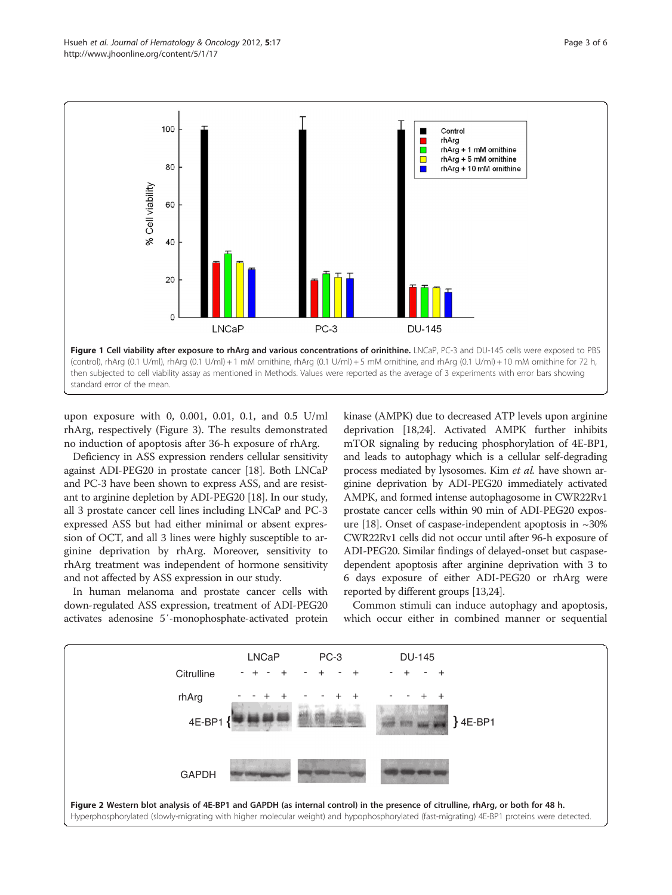<span id="page-2-0"></span>

upon exposure with 0, 0.001, 0.01, 0.1, and 0.5 U/ml rhArg, respectively (Figure [3](#page-3-0)). The results demonstrated no induction of apoptosis after 36-h exposure of rhArg.

Deficiency in ASS expression renders cellular sensitivity against ADI-PEG20 in prostate cancer [\[18\]](#page-5-0). Both LNCaP and PC-3 have been shown to express ASS, and are resistant to arginine depletion by ADI-PEG20 [\[18](#page-5-0)]. In our study, all 3 prostate cancer cell lines including LNCaP and PC-3 expressed ASS but had either minimal or absent expression of OCT, and all 3 lines were highly susceptible to arginine deprivation by rhArg. Moreover, sensitivity to rhArg treatment was independent of hormone sensitivity and not affected by ASS expression in our study.

In human melanoma and prostate cancer cells with down-regulated ASS expression, treatment of ADI-PEG20 activates adenosine 5′-monophosphate-activated protein kinase (AMPK) due to decreased ATP levels upon arginine deprivation [\[18,24](#page-5-0)]. Activated AMPK further inhibits mTOR signaling by reducing phosphorylation of 4E-BP1, and leads to autophagy which is a cellular self-degrading process mediated by lysosomes. Kim et al. have shown arginine deprivation by ADI-PEG20 immediately activated AMPK, and formed intense autophagosome in CWR22Rv1 prostate cancer cells within 90 min of ADI-PEG20 expos-ure [\[18](#page-5-0)]. Onset of caspase-independent apoptosis in  $\sim$ 30% CWR22Rv1 cells did not occur until after 96-h exposure of ADI-PEG20. Similar findings of delayed-onset but caspasedependent apoptosis after arginine deprivation with 3 to 6 days exposure of either ADI-PEG20 or rhArg were reported by different groups [\[13,24\]](#page-5-0).

Common stimuli can induce autophagy and apoptosis, which occur either in combined manner or sequential

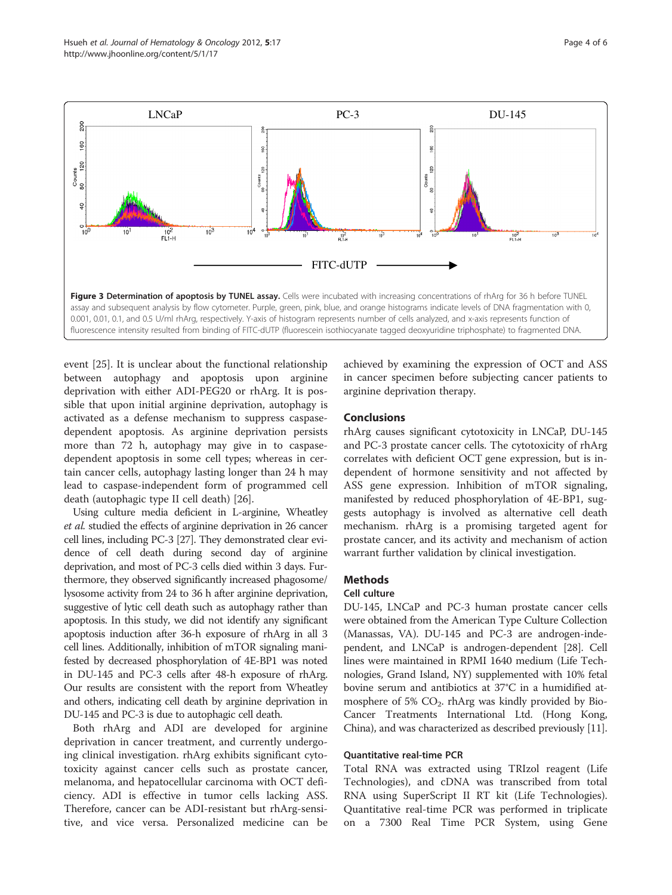<span id="page-3-0"></span>

event [\[25\]](#page-5-0). It is unclear about the functional relationship between autophagy and apoptosis upon arginine deprivation with either ADI-PEG20 or rhArg. It is possible that upon initial arginine deprivation, autophagy is activated as a defense mechanism to suppress caspasedependent apoptosis. As arginine deprivation persists more than 72 h, autophagy may give in to caspasedependent apoptosis in some cell types; whereas in certain cancer cells, autophagy lasting longer than 24 h may lead to caspase-independent form of programmed cell death (autophagic type II cell death) [\[26\]](#page-5-0).

Using culture media deficient in L-arginine, Wheatley et al. studied the effects of arginine deprivation in 26 cancer cell lines, including PC-3 [\[27\]](#page-5-0). They demonstrated clear evidence of cell death during second day of arginine deprivation, and most of PC-3 cells died within 3 days. Furthermore, they observed significantly increased phagosome/ lysosome activity from 24 to 36 h after arginine deprivation, suggestive of lytic cell death such as autophagy rather than apoptosis. In this study, we did not identify any significant apoptosis induction after 36-h exposure of rhArg in all 3 cell lines. Additionally, inhibition of mTOR signaling manifested by decreased phosphorylation of 4E-BP1 was noted in DU-145 and PC-3 cells after 48-h exposure of rhArg. Our results are consistent with the report from Wheatley and others, indicating cell death by arginine deprivation in DU-145 and PC-3 is due to autophagic cell death.

Both rhArg and ADI are developed for arginine deprivation in cancer treatment, and currently undergoing clinical investigation. rhArg exhibits significant cytotoxicity against cancer cells such as prostate cancer, melanoma, and hepatocellular carcinoma with OCT deficiency. ADI is effective in tumor cells lacking ASS. Therefore, cancer can be ADI-resistant but rhArg-sensitive, and vice versa. Personalized medicine can be

achieved by examining the expression of OCT and ASS in cancer specimen before subjecting cancer patients to arginine deprivation therapy.

#### Conclusions

rhArg causes significant cytotoxicity in LNCaP, DU-145 and PC-3 prostate cancer cells. The cytotoxicity of rhArg correlates with deficient OCT gene expression, but is independent of hormone sensitivity and not affected by ASS gene expression. Inhibition of mTOR signaling, manifested by reduced phosphorylation of 4E-BP1, suggests autophagy is involved as alternative cell death mechanism. rhArg is a promising targeted agent for prostate cancer, and its activity and mechanism of action warrant further validation by clinical investigation.

# **Methods**

#### Cell culture

DU-145, LNCaP and PC-3 human prostate cancer cells were obtained from the American Type Culture Collection (Manassas, VA). DU-145 and PC-3 are androgen-independent, and LNCaP is androgen-dependent [[28](#page-5-0)]. Cell lines were maintained in RPMI 1640 medium (Life Technologies, Grand Island, NY) supplemented with 10% fetal bovine serum and antibiotics at 37°C in a humidified atmosphere of 5%  $CO<sub>2</sub>$ . rhArg was kindly provided by Bio-Cancer Treatments International Ltd. (Hong Kong, China), and was characterized as described previously [[11](#page-4-0)].

## Quantitative real-time PCR

Total RNA was extracted using TRIzol reagent (Life Technologies), and cDNA was transcribed from total RNA using SuperScript II RT kit (Life Technologies). Quantitative real-time PCR was performed in triplicate on a 7300 Real Time PCR System, using Gene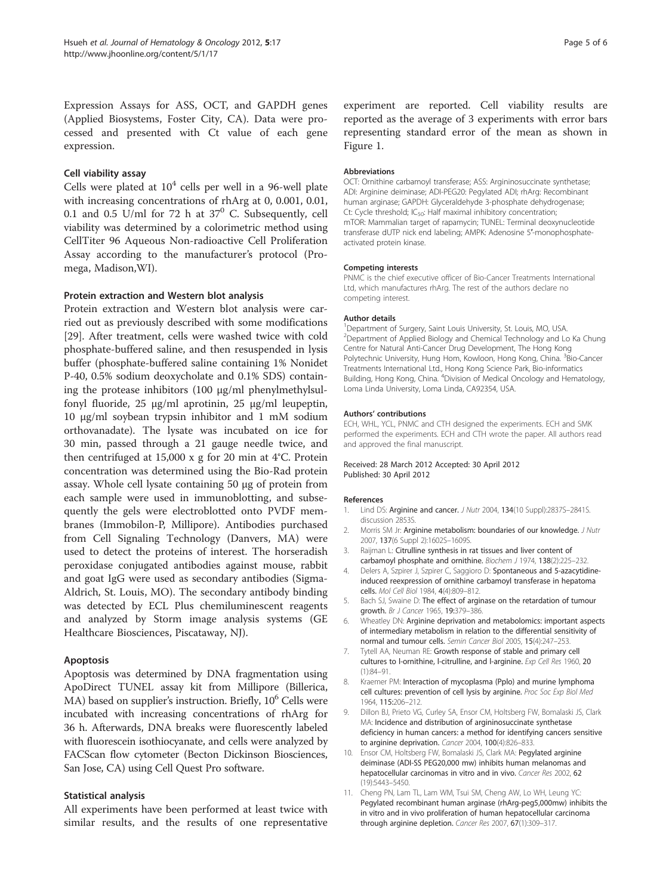<span id="page-4-0"></span>Expression Assays for ASS, OCT, and GAPDH genes (Applied Biosystems, Foster City, CA). Data were processed and presented with Ct value of each gene expression.

#### Cell viability assay

Cells were plated at  $10^4$  cells per well in a 96-well plate with increasing concentrations of rhArg at 0, 0.001, 0.01, 0.1 and 0.5 U/ml for 72 h at  $37^{\circ}$  C. Subsequently, cell viability was determined by a colorimetric method using CellTiter 96 Aqueous Non-radioactive Cell Proliferation Assay according to the manufacturer's protocol (Promega, Madison,WI).

#### Protein extraction and Western blot analysis

Protein extraction and Western blot analysis were carried out as previously described with some modifications [[29\]](#page-5-0). After treatment, cells were washed twice with cold phosphate-buffered saline, and then resuspended in lysis buffer (phosphate-buffered saline containing 1% Nonidet P-40, 0.5% sodium deoxycholate and 0.1% SDS) containing the protease inhibitors  $(100 \mu g/ml)$  phenylmethylsulfonyl fluoride, 25 μg/ml aprotinin, 25 μg/ml leupeptin, 10 μg/ml soybean trypsin inhibitor and 1 mM sodium orthovanadate). The lysate was incubated on ice for 30 min, passed through a 21 gauge needle twice, and then centrifuged at 15,000 x g for 20 min at 4°C. Protein concentration was determined using the Bio-Rad protein assay. Whole cell lysate containing 50 μg of protein from each sample were used in immunoblotting, and subsequently the gels were electroblotted onto PVDF membranes (Immobilon-P, Millipore). Antibodies purchased from Cell Signaling Technology (Danvers, MA) were used to detect the proteins of interest. The horseradish peroxidase conjugated antibodies against mouse, rabbit and goat IgG were used as secondary antibodies (Sigma-Aldrich, St. Louis, MO). The secondary antibody binding was detected by ECL Plus chemiluminescent reagents and analyzed by Storm image analysis systems (GE Healthcare Biosciences, Piscataway, NJ).

#### Apoptosis

Apoptosis was determined by DNA fragmentation using ApoDirect TUNEL assay kit from Millipore (Billerica,  $MA$ ) based on supplier's instruction. Briefly,  $10<sup>6</sup>$  Cells were incubated with increasing concentrations of rhArg for 36 h. Afterwards, DNA breaks were fluorescently labeled with fluorescein isothiocyanate, and cells were analyzed by FACScan flow cytometer (Becton Dickinson Biosciences, San Jose, CA) using Cell Quest Pro software.

#### Statistical analysis

All experiments have been performed at least twice with similar results, and the results of one representative experiment are reported. Cell viability results are reported as the average of 3 experiments with error bars representing standard error of the mean as shown in Figure [1](#page-2-0).

#### Abbreviations

OCT: Ornithine carbamoyl transferase; ASS: Argininosuccinate synthetase; ADI: Arginine deiminase; ADI-PEG20: Pegylated ADI; rhArg: Recombinant human arginase; GAPDH: Glyceraldehyde 3-phosphate dehydrogenase; Ct: Cycle threshold; IC<sub>50</sub>: Half maximal inhibitory concentration; mTOR: Mammalian target of rapamycin; TUNEL: Terminal deoxynucleotide transferase dUTP nick end labeling; AMPK: Adenosine 5′-monophosphateactivated protein kinase.

#### Competing interests

PNMC is the chief executive officer of Bio-Cancer Treatments International Ltd, which manufactures rhArg. The rest of the authors declare no competing interest.

#### Author details

<sup>1</sup>Department of Surgery, Saint Louis University, St. Louis, MO, USA. <sup>2</sup>Department of Applied Biology and Chemical Technology and Lo Ka Chung Centre for Natural Anti-Cancer Drug Development, The Hong Kong Polytechnic University, Hung Hom, Kowloon, Hong Kong, China. <sup>3</sup>Bio-Cancer Treatments International Ltd., Hong Kong Science Park, Bio-informatics Building, Hong Kong, China. <sup>4</sup>Division of Medical Oncology and Hematology, Loma Linda University, Loma Linda, CA92354, USA.

#### Authors' contributions

ECH, WHL, YCL, PNMC and CTH designed the experiments. ECH and SMK performed the experiments. ECH and CTH wrote the paper. All authors read and approved the final manuscript.

#### Received: 28 March 2012 Accepted: 30 April 2012 Published: 30 April 2012

#### References

- 1. Lind DS: Arginine and cancer. J Nutr 2004, 134(10 Suppl):2837S-2841S. discussion 2853S.
- 2. Morris SM Jr: Arginine metabolism: boundaries of our knowledge. J Nutr 2007, 137(6 Suppl 2):1602S–1609S.
- 3. Raijman L: Citrulline synthesis in rat tissues and liver content of carbamoyl phosphate and ornithine. Biochem J 1974, 138(2):225-232.
- 4. Delers A, Szpirer J, Szpirer C, Saggioro D: Spontaneous and 5-azacytidineinduced reexpression of ornithine carbamoyl transferase in hepatoma cells. Mol Cell Biol 1984, 4(4):809–812.
- 5. Bach SJ, Swaine D: The effect of arginase on the retardation of tumour growth. Br J Cancer 1965, 19:379-386.
- 6. Wheatley DN: Arginine deprivation and metabolomics: important aspects of intermediary metabolism in relation to the differential sensitivity of normal and tumour cells. Semin Cancer Biol 2005, 15(4):247–253.
- 7. Tytell AA, Neuman RE: Growth response of stable and primary cell cultures to l-ornithine, l-citrulline, and l-arginine. Exp Cell Res 1960, 20 (1):84–91.
- 8. Kraemer PM: Interaction of mycoplasma (Pplo) and murine lymphoma cell cultures: prevention of cell lysis by arginine. Proc Soc Exp Biol Med 1964, 115:206–212.
- 9. Dillon BJ, Prieto VG, Curley SA, Ensor CM, Holtsberg FW, Bomalaski JS, Clark MA: Incidence and distribution of argininosuccinate synthetase deficiency in human cancers: a method for identifying cancers sensitive to arginine deprivation. Cancer 2004, 100(4):826–833.
- 10. Ensor CM, Holtsberg FW, Bomalaski JS, Clark MA: Pegylated arginine deiminase (ADI-SS PEG20,000 mw) inhibits human melanomas and hepatocellular carcinomas in vitro and in vivo. Cancer Res 2002, 62 (19):5443–5450.
- 11. Cheng PN, Lam TL, Lam WM, Tsui SM, Cheng AW, Lo WH, Leung YC: Pegylated recombinant human arginase (rhArg-peg5,000mw) inhibits the in vitro and in vivo proliferation of human hepatocellular carcinoma through arginine depletion. Cancer Res 2007, 67(1):309–317.